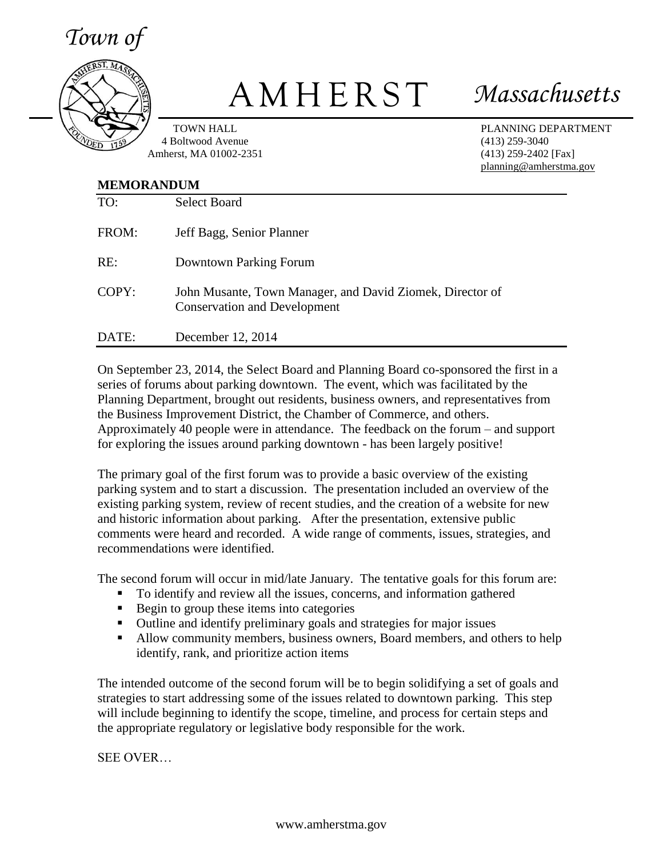*Town of*



## A M H E R S T *Massachusetts*

TOWN HALL 4 Boltwood Avenue Amherst, MA 01002-2351 PLANNING DEPARTMENT (413) 259-3040 (413) 259-2402 [Fax] planning@amherstma.gov

## **MEMORANDUM**

| TO:   | <b>Select Board</b>                                                                              |
|-------|--------------------------------------------------------------------------------------------------|
| FROM: | Jeff Bagg, Senior Planner                                                                        |
| RE:   | Downtown Parking Forum                                                                           |
| COPY: | John Musante, Town Manager, and David Ziomek, Director of<br><b>Conservation and Development</b> |
| DATE: | December 12, 2014                                                                                |

On September 23, 2014, the Select Board and Planning Board co-sponsored the first in a series of forums about parking downtown. The event, which was facilitated by the Planning Department, brought out residents, business owners, and representatives from the Business Improvement District, the Chamber of Commerce, and others. Approximately 40 people were in attendance. The feedback on the forum – and support for exploring the issues around parking downtown - has been largely positive!

The primary goal of the first forum was to provide a basic overview of the existing parking system and to start a discussion. The presentation included an overview of the existing parking system, review of recent studies, and the creation of a website for new and historic information about parking. After the presentation, extensive public comments were heard and recorded. A wide range of comments, issues, strategies, and recommendations were identified.

The second forum will occur in mid/late January. The tentative goals for this forum are:

- To identify and review all the issues, concerns, and information gathered
- Begin to group these items into categories
- Outline and identify preliminary goals and strategies for major issues
- Allow community members, business owners, Board members, and others to help identify, rank, and prioritize action items

The intended outcome of the second forum will be to begin solidifying a set of goals and strategies to start addressing some of the issues related to downtown parking. This step will include beginning to identify the scope, timeline, and process for certain steps and the appropriate regulatory or legislative body responsible for the work.

SEE OVER…